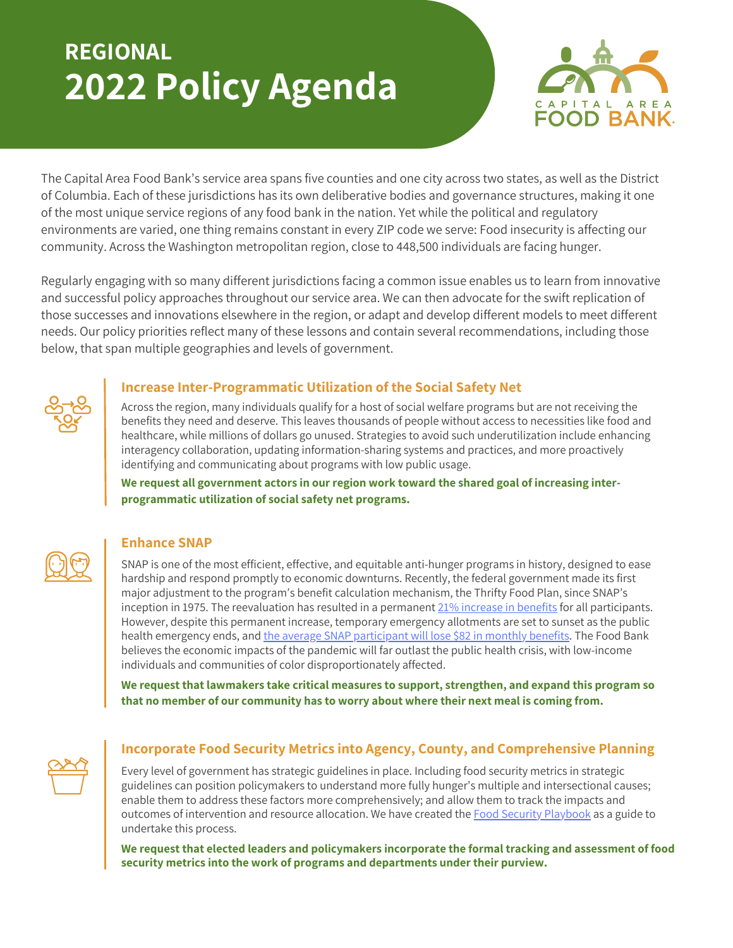# **REGIONAL 2022 Policy Agenda**



The Capital Area Food Bank's service area spans five counties and one city across two states, as well as the District of Columbia. Each of these jurisdictions has its own deliberative bodies and governance structures, making it one of the most unique service regions of any food bank in the nation. Yet while the political and regulatory environments are varied, one thing remains constant in every ZIP code we serve: Food insecurity is affecting our community. Across the Washington metropolitan region, close to 448,500 individuals are facing hunger.

Regularly engaging with so many different jurisdictions facing a common issue enables us to learn from innovative and successful policy approaches throughout our service area. We can then advocate for the swift replication of those successes and innovations elsewhere in the region, or adapt and develop different models to meet different needs. Our policy priorities reflect many of these lessons and contain several recommendations, including those below, that span multiple geographies and levels of government.



#### **Increase Inter-Programmatic Utilization of the Social Safety Net**

Across the region, many individuals qualify for a host of social welfare programs but are not receiving the benefits they need and deserve. This leaves thousands of people without access to necessities like food and healthcare, while millions of dollars go unused. Strategies to avoid such underutilization include enhancing interagency collaboration, updating information-sharing systems and practices, and more proactively identifying and communicating about programs with low public usage.

**We request all government actors in our region work toward the shared goal of increasing interprogrammatic utilization of social safety net programs.**

### **Enhance SNAP**

SNAP is one of the most efficient, effective, and equitable anti-hunger programs in history, designed to ease hardship and respond promptly to economic downturns. Recently, the federal government made its first major adjustment to the program's benefit calculation mechanism, the Thrifty Food Plan, since SNAP's inception in 1975. The reevaluation has resulted in a permanent 21% [increase](https://www.fns.usda.gov/news-item/usda-0179.21) in benefits for all participants. However, despite this permanent increase, temporary emergency allotments are set to sunset as the public health emergency ends, and the average SNAP [participant](https://www.fns.usda.gov/tfp/blog-083021) will lose \$82 in monthly benefits. The Food Bank believes the economic impacts of the pandemic will far outlast the public health crisis, with low-income individuals and communities of color disproportionately affected.

**We request that lawmakers take critical measures to support, strengthen, and expand this program so that no member of our community has to worry about where their next meal is coming from.**



# **Incorporate Food Security Metrics into Agency, County, and Comprehensive Planning**

Every level of government has strategic guidelines in place. Including food security metrics in strategic guidelines can position policymakers to understand more fully hunger's multiple and intersectional causes; enable them to address these factors more comprehensively; and allow them to track the impacts and outcomes of intervention and resource allocation. We have created the Food Security [Playbook](https://www.capitalareafoodbank.org/wp-content/uploads/2021/01/Food-Security-Playbook_Localities_FINAL.pdf) as a guide to undertake this process.

**We request that elected leaders and policymakers incorporate the formal tracking and assessment of food security metrics into the work of programs and departments under their purview.**